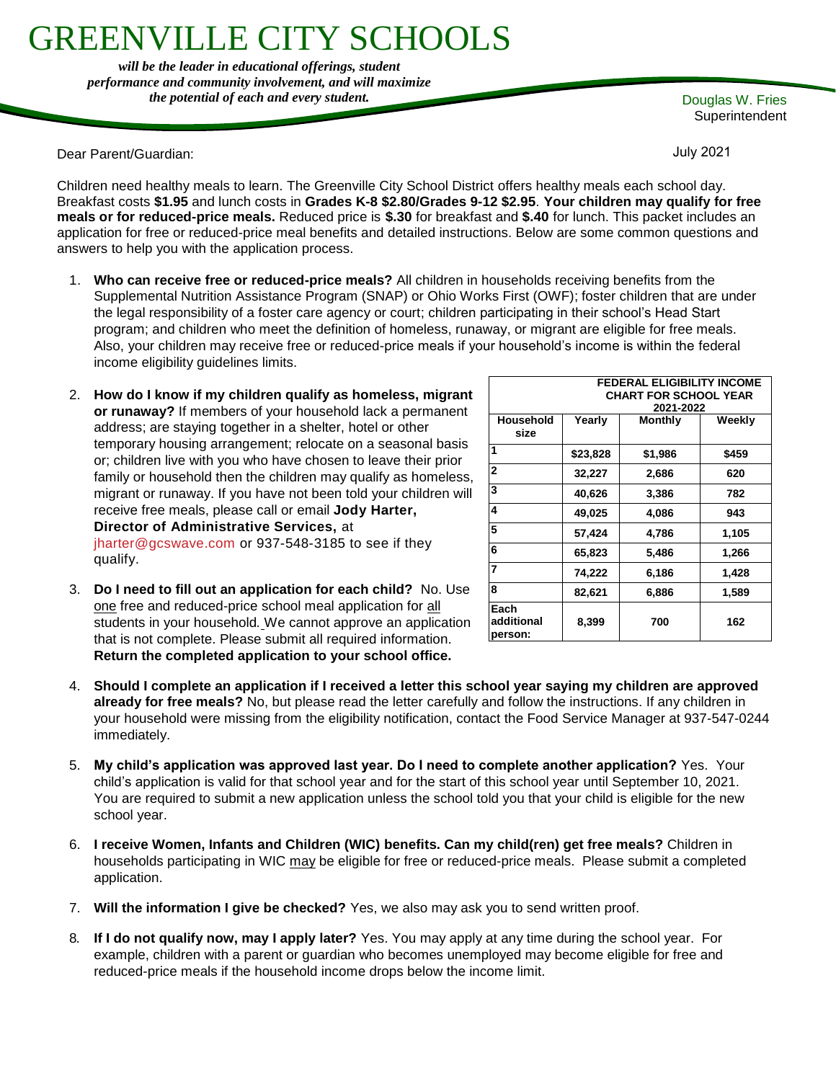# REENVILLE CITY SCHOOL

*will be the leader in educational offerings, student performance and community involvement, and will maximize the potential of each and every student.* Douglas W. Fries

Dear Parent/Guardian:

**Superintendent** 

July 2021

**FEDERAL ELIGIBILITY INCOME** 

Children need healthy meals to learn. The Greenville City School District offers healthy meals each school day. Breakfast costs **\$1.95** and lunch costs in **Grades K-8 \$2.80/Grades 9-12 \$2.95**. **Your children may qualify for free meals or for reduced-price meals.** Reduced price is **\$.30** for breakfast and **\$.40** for lunch. This packet includes an application for free or reduced-price meal benefits and detailed instructions. Below are some common questions and answers to help you with the application process.

- 1. **Who can receive free or reduced-price meals?** All children in households receiving benefits from the Supplemental Nutrition Assistance Program (SNAP) or Ohio Works First (OWF); foster children that are under the legal responsibility of a foster care agency or court; children participating in their school's Head Start program; and children who meet the definition of homeless, runaway, or migrant are eligible for free meals. Also, your children may receive free or reduced-price meals if your household's income is within the federal income eligibility guidelines limits.
- 2. **How do I know if my children qualify as homeless, migrant or runaway?** If members of your household lack a permanent address; are staying together in a shelter, hotel or other temporary housing arrangement; relocate on a seasonal basis or; children live with you who have chosen to leave their prior family or household then the children may qualify as homeless, migrant or runaway. If you have not been told your children will receive free meals, please call or email **Jody Harter, Director of Administrative Services,** at [jharter@gcswave.com](mailto:jharter@gcswave.com) or 937-548-3185 to see if they qualify.

|                               |          | <b>CHART FOR SCHOOL YEAR</b> |        |
|-------------------------------|----------|------------------------------|--------|
|                               |          | 2021-2022                    |        |
| Household<br>size             | Yearly   | <b>Monthly</b>               | Weekly |
| 1                             | \$23,828 | \$1,986                      | \$459  |
| $\overline{2}$                | 32,227   | 2,686                        | 620    |
| 3                             | 40,626   | 3,386                        | 782    |
| 4                             | 49,025   | 4,086                        | 943    |
| 5                             | 57,424   | 4,786                        | 1,105  |
| 6                             | 65,823   | 5,486                        | 1,266  |
| 7                             | 74,222   | 6,186                        | 1,428  |
| 8                             | 82,621   | 6,886                        | 1,589  |
| Each<br>additional<br>person: | 8,399    | 700                          | 162    |

- 3. **Do I need to fill out an application for each child?** No. Use one free and reduced-price school meal application for all students in your household*.* We cannot approve an application that is not complete. Please submit all required information. **Return the completed application to your school office.**
- 4. **Should I complete an application if I received a letter this school year saying my children are approved already for free meals?** No, but please read the letter carefully and follow the instructions. If any children in your household were missing from the eligibility notification, contact the Food Service Manager at 937-547-0244 immediately.
- 5. **My child's application was approved last year. Do I need to complete another application?** Yes. Your child's application is valid for that school year and for the start of this school year until September 10, 2021. You are required to submit a new application unless the school told you that your child is eligible for the new school year.
- 6. **I receive Women, Infants and Children (WIC) benefits. Can my child(ren) get free meals?** Children in households participating in WIC may be eligible for free or reduced-price meals. Please submit a completed application.
- 7. **Will the information I give be checked?** Yes, we also may ask you to send written proof.
- 8. **If I do not qualify now, may I apply later?** Yes. You may apply at any time during the school year. For example, children with a parent or guardian who becomes unemployed may become eligible for free and reduced-price meals if the household income drops below the income limit.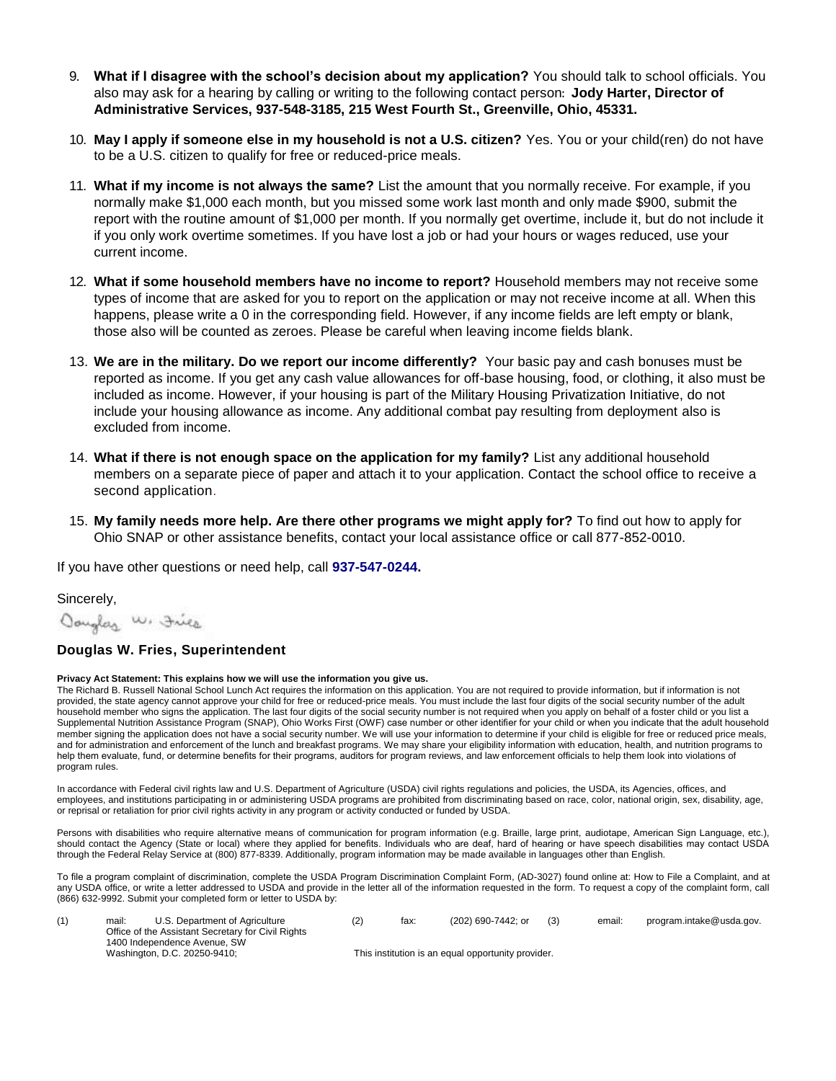- 9. **What if I disagree with the school's decision about my application?** You should talk to school officials. You also may ask for a hearing by calling or writing to the following contact person: **Jody Harter, Director of Administrative Services, 937-548-3185, 215 West Fourth St., Greenville, Ohio, 45331.**
- 10. **May I apply if someone else in my household is not a U.S. citizen?** Yes. You or your child(ren) do not have to be a U.S. citizen to qualify for free or reduced-price meals.
- 11. **What if my income is not always the same?** List the amount that you normally receive. For example, if you normally make \$1,000 each month, but you missed some work last month and only made \$900, submit the report with the routine amount of \$1,000 per month. If you normally get overtime, include it, but do not include it if you only work overtime sometimes. If you have lost a job or had your hours or wages reduced, use your current income.
- 12. **What if some household members have no income to report?** Household members may not receive some types of income that are asked for you to report on the application or may not receive income at all. When this happens, please write a 0 in the corresponding field. However, if any income fields are left empty or blank, those also will be counted as zeroes. Please be careful when leaving income fields blank.
- 13. **We are in the military. Do we report our income differently?** Your basic pay and cash bonuses must be reported as income. If you get any cash value allowances for off-base housing, food, or clothing, it also must be included as income. However, if your housing is part of the Military Housing Privatization Initiative, do not include your housing allowance as income. Any additional combat pay resulting from deployment also is excluded from income.
- 14. **What if there is not enough space on the application for my family?** List any additional household members on a separate piece of paper and attach it to your application. Contact the school office to receive a second application.
- 15. **My family needs more help. Are there other programs we might apply for?** To find out how to apply for Ohio SNAP or other assistance benefits, contact your local assistance office or call 877-852-0010.

If you have other questions or need help, call **937-547-0244.**

Sincerely,

Oouglas W. Fries

### **Douglas W. Fries, Superintendent**

### **Privacy Act Statement: This explains how we will use the information you give us.**

The Richard B. Russell National School Lunch Act requires the information on this application. You are not required to provide information, but if information is not provided, the state agency cannot approve your child for free or reduced-price meals. You must include the last four digits of the social security number of the adult household member who signs the application. The last four digits of the social security number is not required when you apply on behalf of a foster child or you list a Supplemental Nutrition Assistance Program (SNAP), Ohio Works First (OWF) case number or other identifier for your child or when you indicate that the adult household member signing the application does not have a social security number. We will use your information to determine if your child is eligible for free or reduced price meals, and for administration and enforcement of the lunch and breakfast programs. We may share your eligibility information with education, health, and nutrition programs to help them evaluate, fund, or determine benefits for their programs, auditors for program reviews, and law enforcement officials to help them look into violations of program rules.

In accordance with Federal civil rights law and U.S. Department of Agriculture (USDA) civil rights regulations and policies, the USDA, its Agencies, offices, and employees, and institutions participating in or administering USDA programs are prohibited from discriminating based on race, color, national origin, sex, disability, age, or reprisal or retaliation for prior civil rights activity in any program or activity conducted or funded by USDA.

Persons with disabilities who require alternative means of communication for program information (e.g. Braille, large print, audiotape, American Sign Language, etc.), should contact the Agency (State or local) where they applied for benefits. Individuals who are deaf, hard of hearing or have speech disabilities may contact USDA through the Federal Relay Service at (800) 877-8339. Additionally, program information may be made available in languages other than English.

To file a program complaint of discrimination, complete th[e USDA Program Discrimination Complaint Form,](http://www.ocio.usda.gov/sites/default/files/docs/2012/Complain_combined_6_8_12.pdf) (AD-3027) found online at[: How to File a Complaint,](http://www.ascr.usda.gov/complaint_filing_cust.html) and at any USDA office, or write a letter addressed to USDA and provide in the letter all of the information requested in the form. To request a copy of the complaint form, call (866) 632-9992. Submit your completed form or letter to USDA by:

| mail: | U.S. Department of Agriculture<br>Office of the Assistant Secretary for Civil Rights<br>1400 Independence Avenue, SW | (2) | fax: | (202) 690-7442; or                                 | email: | program.intake@usda.gov. |
|-------|----------------------------------------------------------------------------------------------------------------------|-----|------|----------------------------------------------------|--------|--------------------------|
|       | Washington, D.C. 20250-9410;                                                                                         |     |      | This institution is an equal opportunity provider. |        |                          |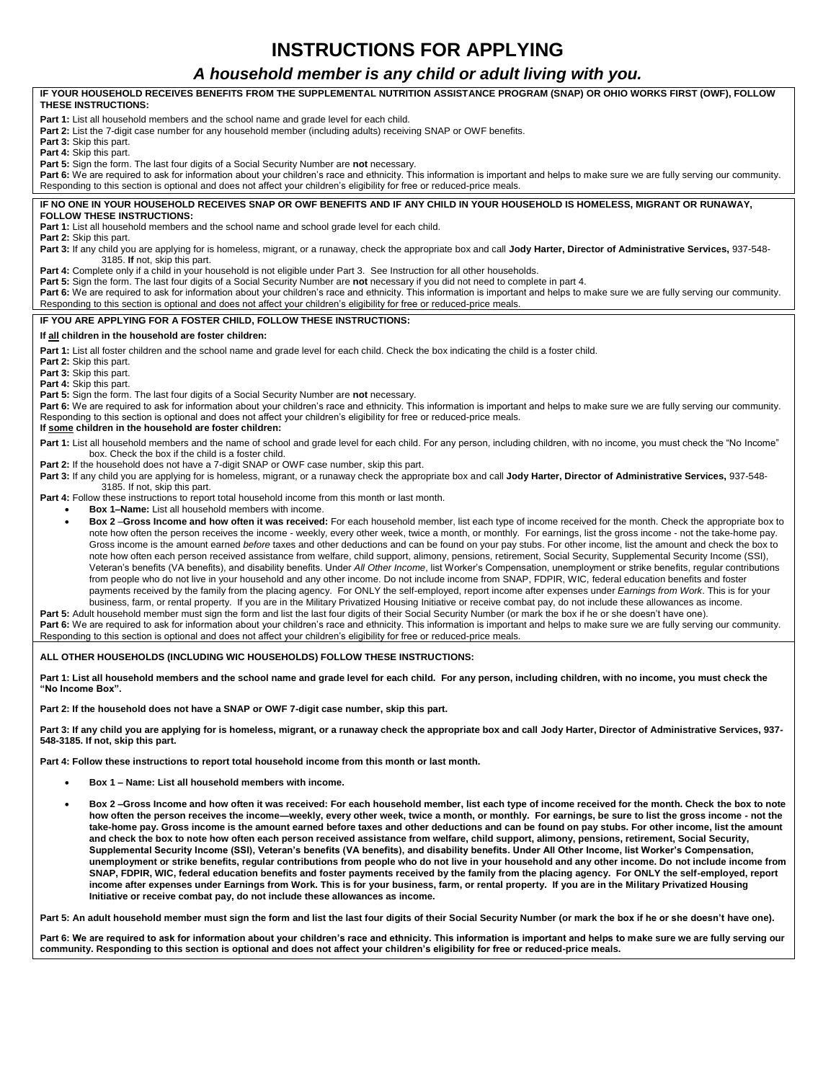# **INSTRUCTIONS FOR APPLYING**

### *A household member is any child or adult living with you.* **IF YOUR HOUSEHOLD RECEIVES BENEFITS FROM THE SUPPLEMENTAL NUTRITION ASSISTANCE PROGRAM (SNAP) OR OHIO WORKS FIRST (OWF), FOLLOW THESE INSTRUCTIONS: Part 1:** List all household members and the school name and grade level for each child. **Part 2:** List the 7-digit case number for any household member (including adults) receiving SNAP or OWF benefits. **Part 3:** Skip this part. **Part 4:** Skip this part. **Part 5:** Sign the form. The last four digits of a Social Security Number are **not** necessary. Part 6: We are required to ask for information about your children's race and ethnicity. This information is important and helps to make sure we are fully serving our community. Responding to this section is optional and does not affect your children's eligibility for free or reduced-price meals. **IF NO ONE IN YOUR HOUSEHOLD RECEIVES SNAP OR OWF BENEFITS AND IF ANY CHILD IN YOUR HOUSEHOLD IS HOMELESS, MIGRANT OR RUNAWAY, FOLLOW THESE INSTRUCTIONS:** Part 1: List all household members and the school name and school grade level for each child. **Part 2:** Skip this part. **Part 3:** If any child you are applying for is homeless, migrant, or a runaway, check the appropriate box and call **Jody Harter, Director of Administrative Services,** 937-548- 3185. **If** not, skip this part. Part 4: Complete only if a child in your household is not eligible under Part 3. See Instruction for all other households. **Part 5:** Sign the form. The last four digits of a Social Security Number are **not** necessary if you did not need to complete in part 4. **Part 6:** We are required to ask for information about your children's race and ethnicity. This information is important and helps to make sure we are fully serving our community. Responding to this section is optional and does not affect your children's eligibility for free or reduced-price meals. **IF YOU ARE APPLYING FOR A FOSTER CHILD, FOLLOW THESE INSTRUCTIONS: If all children in the household are foster children:** Part 1: List all foster children and the school name and grade level for each child. Check the box indicating the child is a foster child. **Part 2:** Skip this part. **Part 3:** Skip this part. **Part 4:** Skip this part. **Part 5:** Sign the form. The last four digits of a Social Security Number are **not** necessary. Part 6: We are required to ask for information about your children's race and ethnicity. This information is important and helps to make sure we are fully serving our community. Responding to this section is optional and does not affect your children's eligibility for free or reduced-price meals. **If some children in the household are foster children:** Part 1: List all household members and the name of school and grade level for each child. For any person, including children, with no income, you must check the "No Income" box. Check the box if the child is a foster child. Part 2: If the household does not have a 7-digit SNAP or OWF case number, skip this part. **Part 3:** If any child you are applying for is homeless, migrant, or a runaway check the appropriate box and call **Jody Harter, Director of Administrative Services,** 937-548- 3185. If not, skip this part. **Part 4:** Follow these instructions to report total household income from this month or last month. • **Box 1–Name:** List all household members with income. • **Box 2** –**Gross Income and how often it was received:** For each household member, list each type of income received for the month. Check the appropriate box to note how often the person receives the income - weekly, every other week, twice a month, or monthly. For earnings, list the gross income - not the take-home pay. Gross income is the amount earned *before* taxes and other deductions and can be found on your pay stubs. For other income, list the amount and check the box to note how often each person received assistance from welfare, child support, alimony, pensions, retirement, Social Security, Supplemental Security Income (SSI), Veteran's benefits (VA benefits), and disability benefits. Under *All Other Income*, list Worker's Compensation, unemployment or strike benefits, regular contributions from people who do not live in your household and any other income. Do not include income from SNAP, FDPIR, WIC, federal education benefits and foster payments received by the family from the placing agency. For ONLY the self-employed, report income after expenses under *Earnings from Work*. This is for your business, farm, or rental property. If you are in the Military Privatized Housing Initiative or receive combat pay, do not include these allowances as income. Part 5: Adult household member must sign the form and list the last four digits of their Social Security Number (or mark the box if he or she doesn't have one). Part 6: We are required to ask for information about your children's race and ethnicity. This information is important and helps to make sure we are fully serving our community. Responding to this section is optional and does not affect your children's eligibility for free or reduced-price meals. **ALL OTHER HOUSEHOLDS (INCLUDING WIC HOUSEHOLDS) FOLLOW THESE INSTRUCTIONS: Part 1: List all household members and the school name and grade level for each child. For any person, including children, with no income, you must check the "No Income Box". Part 2: If the household does not have a SNAP or OWF 7-digit case number, skip this part.**

**Part 3: If any child you are applying for is homeless, migrant, or a runaway check the appropriate box and call Jody Harter, Director of Administrative Services, 937- 548-3185. If not, skip this part.**

**Part 4: Follow these instructions to report total household income from this month or last month.** 

- **Box 1 – Name: List all household members with income.**
- **Box 2 –Gross Income and how often it was received: For each household member, list each type of income received for the month. Check the box to note how often the person receives the income—weekly, every other week, twice a month, or monthly. For earnings, be sure to list the gross income - not the take-home pay. Gross income is the amount earned before taxes and other deductions and can be found on pay stubs. For other income, list the amount and check the box to note how often each person received assistance from welfare, child support, alimony, pensions, retirement, Social Security, Supplemental Security Income (SSI), Veteran's benefits (VA benefits), and disability benefits. Under All Other Income, list Worker's Compensation, unemployment or strike benefits, regular contributions from people who do not live in your household and any other income. Do not include income from SNAP, FDPIR, WIC, federal education benefits and foster payments received by the family from the placing agency. For ONLY the self-employed, report income after expenses under Earnings from Work. This is for your business, farm, or rental property. If you are in the Military Privatized Housing Initiative or receive combat pay, do not include these allowances as income.**

Part 5: An adult household member must sign the form and list the last four digits of their Social Security Number (or mark the box if he or she doesn't have one).

Part 6: We are required to ask for information about your children's race and ethnicity. This information is important and helps to make sure we are fully serving our **community. Responding to this section is optional and does not affect your children's eligibility for free or reduced-price meals.**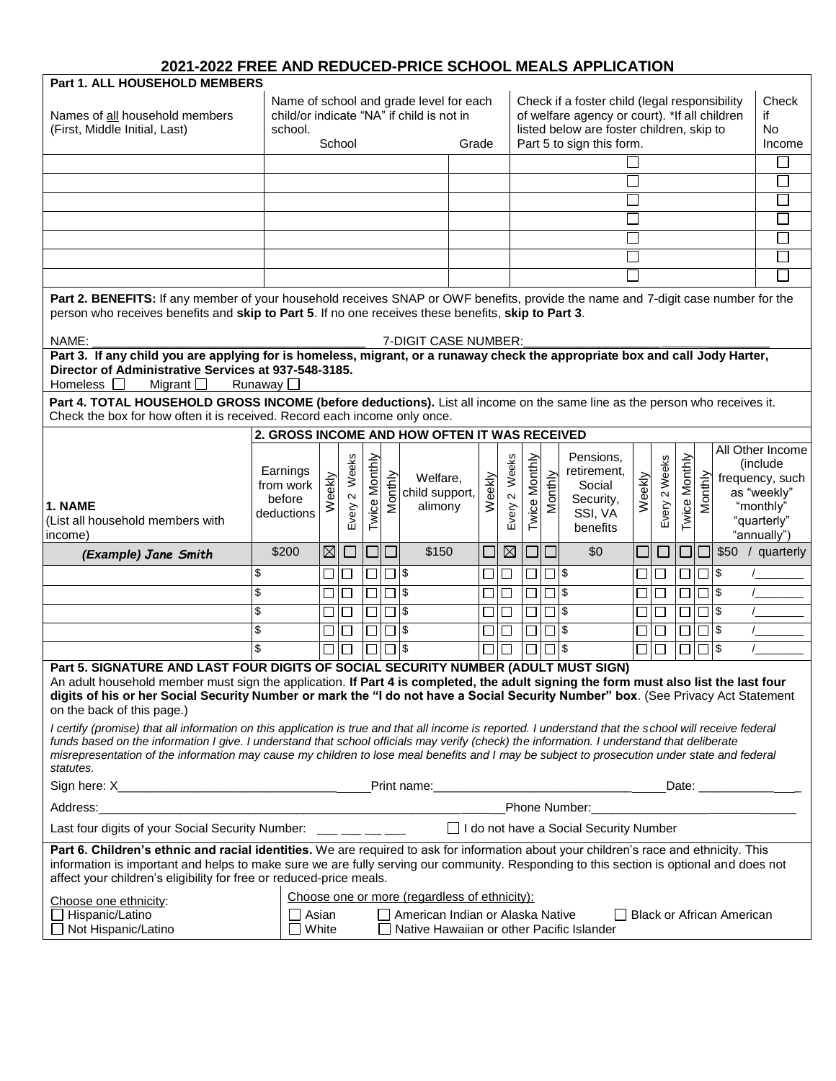## **2021-2022 FREE AND REDUCED-PRICE SCHOOL MEALS APPLICATION**

| <b>Part 1. ALL HOUSEHOLD MEMBERS</b>                                                                                                                                                                                                     |                     |             |                     |               |                        |                                               |        |               |               |          |                                                                                            |                |               |               |              |                                  |                              |
|------------------------------------------------------------------------------------------------------------------------------------------------------------------------------------------------------------------------------------------|---------------------|-------------|---------------------|---------------|------------------------|-----------------------------------------------|--------|---------------|---------------|----------|--------------------------------------------------------------------------------------------|----------------|---------------|---------------|--------------|----------------------------------|------------------------------|
|                                                                                                                                                                                                                                          |                     |             |                     |               |                        | Name of school and grade level for each       |        |               |               |          | Check if a foster child (legal responsibility                                              |                |               |               |              |                                  | Check                        |
| Names of all household members<br>(First, Middle Initial, Last)                                                                                                                                                                          | school.             |             |                     |               |                        | child/or indicate "NA" if child is not in     |        |               |               |          | of welfare agency or court). *If all children<br>listed below are foster children, skip to |                |               |               |              |                                  | if<br><b>No</b>              |
|                                                                                                                                                                                                                                          |                     |             | School              |               |                        |                                               | Grade  |               |               |          | Part 5 to sign this form.                                                                  |                |               |               |              |                                  | Income                       |
|                                                                                                                                                                                                                                          |                     |             |                     |               |                        |                                               |        |               |               |          |                                                                                            |                |               |               |              |                                  | $\mathcal{L}$                |
|                                                                                                                                                                                                                                          |                     |             |                     |               |                        |                                               |        |               |               |          |                                                                                            |                |               |               |              |                                  | $\mathcal{L}_{\mathcal{A}}$  |
|                                                                                                                                                                                                                                          |                     |             |                     |               |                        |                                               |        |               |               |          |                                                                                            |                |               |               |              |                                  | $\sim$                       |
|                                                                                                                                                                                                                                          |                     |             |                     |               |                        |                                               |        |               |               |          |                                                                                            |                |               |               |              |                                  | $\overline{\phantom{a}}$     |
|                                                                                                                                                                                                                                          |                     |             |                     |               |                        |                                               |        |               |               |          |                                                                                            |                |               |               |              |                                  | $\Box$                       |
|                                                                                                                                                                                                                                          |                     |             |                     |               |                        |                                               |        |               |               |          |                                                                                            |                |               |               |              |                                  | $\overline{\phantom{a}}$     |
|                                                                                                                                                                                                                                          |                     |             |                     |               |                        |                                               |        |               |               |          |                                                                                            |                |               |               |              |                                  | J.                           |
| Part 2. BENEFITS: If any member of your household receives SNAP or OWF benefits, provide the name and 7-digit case number for the<br>person who receives benefits and skip to Part 5. If no one receives these benefits, skip to Part 3. |                     |             |                     |               |                        |                                               |        |               |               |          |                                                                                            |                |               |               |              |                                  |                              |
| NAME:                                                                                                                                                                                                                                    |                     |             |                     |               |                        | 7-DIGIT CASE NUMBER:                          |        |               |               |          |                                                                                            |                |               |               |              |                                  |                              |
| Part 3. If any child you are applying for is homeless, migrant, or a runaway check the appropriate box and call Jody Harter,                                                                                                             |                     |             |                     |               |                        |                                               |        |               |               |          |                                                                                            |                |               |               |              |                                  |                              |
| Director of Administrative Services at 937-548-3185.<br>Homeless $\square$<br>Migrant $\Box$                                                                                                                                             | Runaway $\square$   |             |                     |               |                        |                                               |        |               |               |          |                                                                                            |                |               |               |              |                                  |                              |
| Part 4. TOTAL HOUSEHOLD GROSS INCOME (before deductions). List all income on the same line as the person who receives it.<br>Check the box for how often it is received. Record each income only once.                                   |                     |             |                     |               |                        |                                               |        |               |               |          |                                                                                            |                |               |               |              |                                  |                              |
|                                                                                                                                                                                                                                          |                     |             |                     |               |                        | 2. GROSS INCOME AND HOW OFTEN IT WAS RECEIVED |        |               |               |          |                                                                                            |                |               |               |              |                                  |                              |
|                                                                                                                                                                                                                                          |                     |             |                     |               |                        |                                               |        |               |               |          | Pensions.                                                                                  |                |               |               |              |                                  | All Other Income<br>(include |
|                                                                                                                                                                                                                                          | Earnings            |             | Weeks               | Twice Monthly |                        | Welfare,                                      |        | Every 2 Weeks | Twice Monthly |          | retirement,                                                                                |                | Every 2 Weeks | Twice Monthly |              |                                  | frequency, such              |
|                                                                                                                                                                                                                                          | from work<br>before | Weekly      | $\boldsymbol{\sim}$ |               | Monthly                | child support,                                | Weekly |               |               | Monthly  | Social<br>Security,                                                                        | Weekly         |               |               | Monthly      |                                  | as "weekly"                  |
| 1. NAME<br>(List all household members with                                                                                                                                                                                              | deductions          |             | Every               |               |                        | alimony                                       |        |               |               |          | SSI, VA                                                                                    |                |               |               |              |                                  | "monthly"<br>"quarterly"     |
| income)                                                                                                                                                                                                                                  |                     |             |                     |               |                        |                                               |        |               |               |          | benefits                                                                                   |                |               |               |              |                                  | "annually")                  |
| (Example) Jane Smith                                                                                                                                                                                                                     | \$200               | $\boxtimes$ |                     |               |                        | \$150                                         |        | ⊠             |               | □        | \$0                                                                                        | $\blacksquare$ | $\Box$        | $\Box$        | $\Box$       |                                  | \$50 / quarterly             |
|                                                                                                                                                                                                                                          | \$                  | $\Box$      | $\Box$              |               | $\Box$                 |                                               | $\Box$ | $\Box$        | $\Box$        | $\Box$ s |                                                                                            | $\Box$         | $\Box$        | $\Box$        | $\Box$ \$    |                                  |                              |
|                                                                                                                                                                                                                                          | \$                  | □           | $\Box$              | $\Box$        | $\overline{\square}$ s |                                               | $\Box$ | $\Box$        | $\Box$        | $\Box$ s |                                                                                            | $\Box$         | $\Box$        | $\Box$        | $\Box$       |                                  |                              |
|                                                                                                                                                                                                                                          | \$                  | □           | $\Box$              |               | $\Box$ s               |                                               |        | $\Box$        | $\Box$        | $\Box$ s |                                                                                            | $\Box$         | □             | $\Box$        | $\square$ \$ |                                  |                              |
|                                                                                                                                                                                                                                          | \$                  | □           | $\Box$              | $\Box$        | $\Box$ s               |                                               | $\Box$ | $\Box$        | $\Box$        | $\Box$   |                                                                                            | $\Box$         | $\Box$        | $\Box$        | $\Box$ s     |                                  |                              |
|                                                                                                                                                                                                                                          |                     | $\Box$      |                     |               | $\Box$                 |                                               |        | $\Box$        | □             | $\Box$ s |                                                                                            | □              | $\Box$        | $\Box$        | $\Box$  \$   |                                  |                              |
| Part 5. SIGNATURE AND LAST FOUR DIGITS OF SOCIAL SECURITY NUMBER (ADULT MUST SIGN)<br>An adult household member must sign the application. If Part 4 is completed, the adult signing the form must also list the last four               |                     |             |                     |               |                        |                                               |        |               |               |          |                                                                                            |                |               |               |              |                                  |                              |
| digits of his or her Social Security Number or mark the "I do not have a Social Security Number" box. (See Privacy Act Statement<br>on the back of this page.)                                                                           |                     |             |                     |               |                        |                                               |        |               |               |          |                                                                                            |                |               |               |              |                                  |                              |
| I certify (promise) that all information on this application is true and that all income is reported. I understand that the school will receive federal                                                                                  |                     |             |                     |               |                        |                                               |        |               |               |          |                                                                                            |                |               |               |              |                                  |                              |
| funds based on the information I give. I understand that school officials may verify (check) the information. I understand that deliberate                                                                                               |                     |             |                     |               |                        |                                               |        |               |               |          |                                                                                            |                |               |               |              |                                  |                              |
| misrepresentation of the information may cause my children to lose meal benefits and I may be subject to prosecution under state and federal<br>statutes.                                                                                |                     |             |                     |               |                        |                                               |        |               |               |          |                                                                                            |                |               |               |              |                                  |                              |
|                                                                                                                                                                                                                                          |                     |             |                     |               |                        |                                               |        |               |               |          |                                                                                            |                |               |               |              |                                  |                              |
| Address:<br><u> 1980 - Johann Barbara, martxa alemaniar arg</u> entina (h. 1918).                                                                                                                                                        |                     |             |                     |               |                        |                                               |        |               |               |          |                                                                                            |                |               |               |              |                                  |                              |
| Last four digits of your Social Security Number: ___ __ __ __ __                                                                                                                                                                         |                     |             |                     |               |                        |                                               |        |               |               |          | □ I do not have a Social Security Number                                                   |                |               |               |              |                                  |                              |
| Part 6. Children's ethnic and racial identities. We are required to ask for information about your children's race and ethnicity. This                                                                                                   |                     |             |                     |               |                        |                                               |        |               |               |          |                                                                                            |                |               |               |              |                                  |                              |
| information is important and helps to make sure we are fully serving our community. Responding to this section is optional and does not<br>affect your children's eligibility for free or reduced-price meals.                           |                     |             |                     |               |                        |                                               |        |               |               |          |                                                                                            |                |               |               |              |                                  |                              |
| Choose one ethnicity:                                                                                                                                                                                                                    |                     |             |                     |               |                        | Choose one or more (regardless of ethnicity): |        |               |               |          |                                                                                            |                |               |               |              |                                  |                              |
| Hispanic/Latino                                                                                                                                                                                                                          | $\Box$ Asian        |             |                     |               |                        | American Indian or Alaska Native              |        |               |               |          |                                                                                            |                |               |               |              | <b>Black or African American</b> |                              |
| Not Hispanic/Latino                                                                                                                                                                                                                      | $\Box$ White        |             |                     |               |                        | Native Hawaiian or other Pacific Islander     |        |               |               |          |                                                                                            |                |               |               |              |                                  |                              |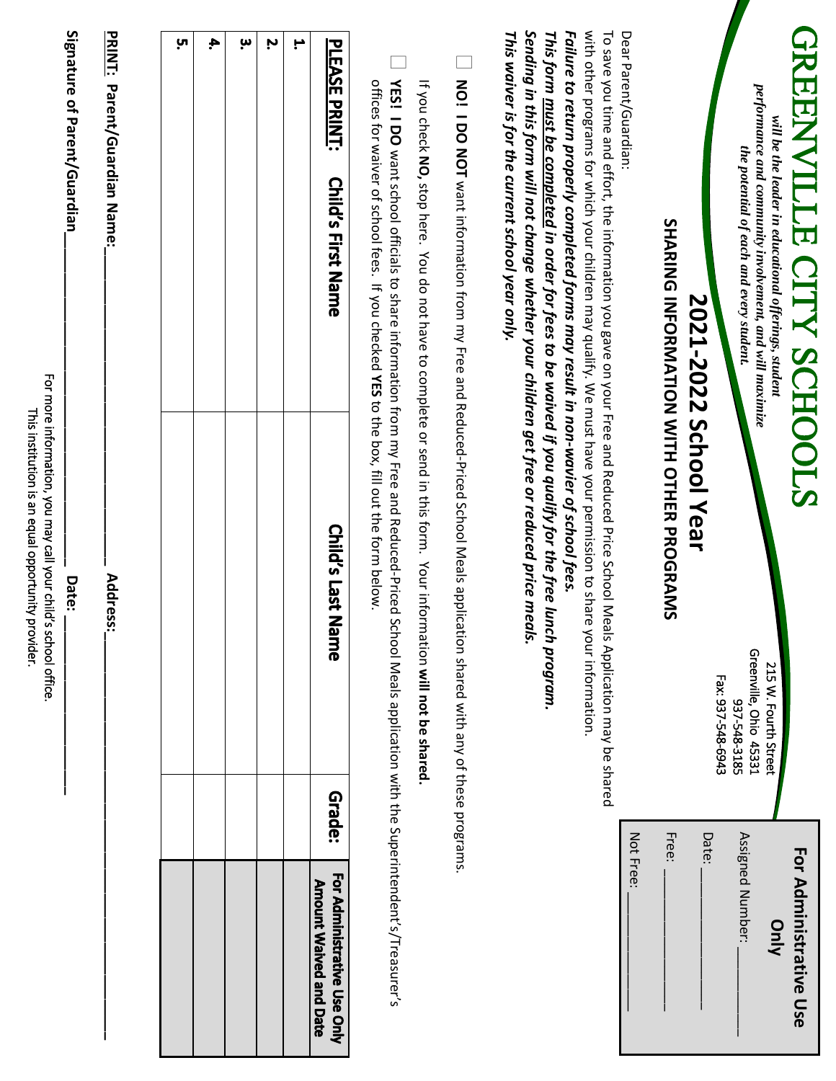|                                                              |        | For more information, you may call your child's school office.<br>This institution is an equal opportunity provider.                                |                                                                                                                                                                                                                                                                                                                                                                                                                                                                                                                                                                                     |
|--------------------------------------------------------------|--------|-----------------------------------------------------------------------------------------------------------------------------------------------------|-------------------------------------------------------------------------------------------------------------------------------------------------------------------------------------------------------------------------------------------------------------------------------------------------------------------------------------------------------------------------------------------------------------------------------------------------------------------------------------------------------------------------------------------------------------------------------------|
|                                                              |        | Date:                                                                                                                                               | Signature of Parent/Guardian                                                                                                                                                                                                                                                                                                                                                                                                                                                                                                                                                        |
|                                                              |        | Address:                                                                                                                                            | PRINT: Parent/Guardian Name:                                                                                                                                                                                                                                                                                                                                                                                                                                                                                                                                                        |
|                                                              |        |                                                                                                                                                     |                                                                                                                                                                                                                                                                                                                                                                                                                                                                                                                                                                                     |
|                                                              |        |                                                                                                                                                     | <u>ុ</u> ហ                                                                                                                                                                                                                                                                                                                                                                                                                                                                                                                                                                          |
|                                                              |        |                                                                                                                                                     | 4.                                                                                                                                                                                                                                                                                                                                                                                                                                                                                                                                                                                  |
|                                                              |        |                                                                                                                                                     | 'n                                                                                                                                                                                                                                                                                                                                                                                                                                                                                                                                                                                  |
|                                                              |        |                                                                                                                                                     | Ņ                                                                                                                                                                                                                                                                                                                                                                                                                                                                                                                                                                                   |
|                                                              |        |                                                                                                                                                     | H,                                                                                                                                                                                                                                                                                                                                                                                                                                                                                                                                                                                  |
| For Administrative Use Only<br><b>Amount Waived and Date</b> | Grade: | Child's Last N<br>lame                                                                                                                              | <b>PLEASE PRINT:</b><br><b>Child's First Name</b>                                                                                                                                                                                                                                                                                                                                                                                                                                                                                                                                   |
|                                                              |        | YES! I DO want school officials to share information from my Free and Reduced-Priced School Meals application with the Superintendent's/Treasurer's | offices for waiver of school fees. If you checked <b>XES</b> to the box, fill out the form below.                                                                                                                                                                                                                                                                                                                                                                                                                                                                                   |
|                                                              |        | If you check NO, stop here. You do not have to complete or send in this form. Your information will not be shared.                                  |                                                                                                                                                                                                                                                                                                                                                                                                                                                                                                                                                                                     |
|                                                              |        | NO! I DO NOT want information from my Free and Reduced-Priced School Meals application shared with any of these programs.                           |                                                                                                                                                                                                                                                                                                                                                                                                                                                                                                                                                                                     |
|                                                              |        | ais.<br>your information.                                                                                                                           | with other programs for which your children may qualify. We must have your permission to share<br>Sending in this form will not change whether your children get free or reduced price me<br>Failure to return properly completed forms may result in non-wavier of school fees.<br>This form <u>must be completed</u> in order for fees to be waived if you qualify for the free lunch program.<br>To save you time and effort, the information you gave on your Free and Reduced Price School Meals Application may be shared<br>This waiver is for the current school year only. |
| Not Free:                                                    |        |                                                                                                                                                     | Dear Parent/Guardian:                                                                                                                                                                                                                                                                                                                                                                                                                                                                                                                                                               |
|                                                              | Free:  | SHANG INFORMATION WITH OTHER PROGRAMS                                                                                                               |                                                                                                                                                                                                                                                                                                                                                                                                                                                                                                                                                                                     |
|                                                              | Date:  | 2021-2022 School Year                                                                                                                               |                                                                                                                                                                                                                                                                                                                                                                                                                                                                                                                                                                                     |
| Assigned Number:                                             |        | Fax: 937-548-6943<br>937-548-3185                                                                                                                   | the potential of each and every student.                                                                                                                                                                                                                                                                                                                                                                                                                                                                                                                                            |
| <b>Vinly</b>                                                 |        | Greenville, Ohio 45331<br>215 W. Fourth Street                                                                                                      | performance and community involvement, and will maximize<br>will be the leader in educational offerings, student                                                                                                                                                                                                                                                                                                                                                                                                                                                                    |
| For Administrative Use                                       |        |                                                                                                                                                     | GREENVILLE CITY SCHOOLS                                                                                                                                                                                                                                                                                                                                                                                                                                                                                                                                                             |